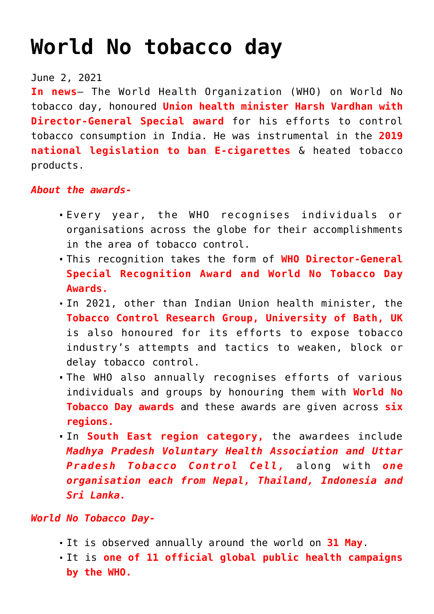## **[World No tobacco day](https://journalsofindia.com/world-no-tobacco-day/)**

## June 2, 2021

**In news**– The World Health Organization (WHO) on World No tobacco day, honoured **Union health minister Harsh Vardhan with Director-General Special award** for his efforts to control tobacco consumption in India. He was instrumental in the **2019 national legislation to ban E-cigarettes** & heated tobacco products.

## *About the awards-*

- Every year, the WHO recognises individuals or organisations across the globe for their accomplishments in the area of tobacco control.
- This recognition takes the form of **WHO Director-General Special Recognition Award and World No Tobacco Day Awards.**
- In 2021, other than Indian Union health minister, the **Tobacco Control Research Group, University of Bath, UK** is also honoured for its efforts to expose tobacco industry's attempts and tactics to weaken, block or delay tobacco control.
- The WHO also annually recognises efforts of various individuals and groups by honouring them with **World No Tobacco Day awards** and these awards are given across **six regions.**
- In **South East region category,** the awardees include *Madhya Pradesh Voluntary Health Association and Uttar Pradesh Tobacco Control Cell,* along with *one organisation each from Nepal, Thailand, Indonesia and Sri Lanka.*

## *World No Tobacco Day-*

- It is observed annually around the world on **31 May**.
- It is **one of 11 official global public health campaigns by the WHO.**